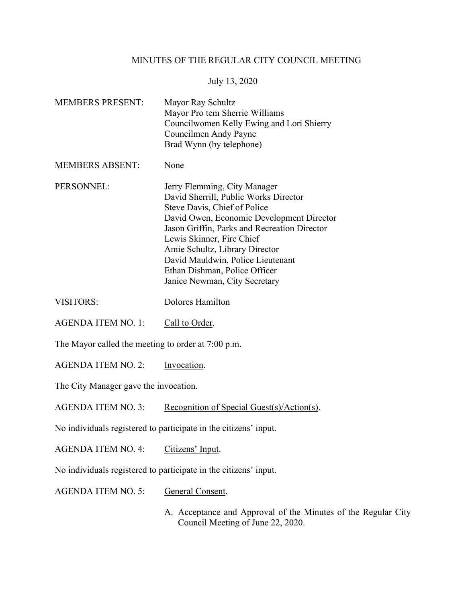## MINUTES OF THE REGULAR CITY COUNCIL MEETING

## July 13, 2020

| <b>MEMBERS PRESENT:</b>                                          | Mayor Ray Schultz<br>Mayor Pro tem Sherrie Williams<br>Councilwomen Kelly Ewing and Lori Shierry<br>Councilmen Andy Payne<br>Brad Wynn (by telephone)                                                                                                                                                                                                                    |
|------------------------------------------------------------------|--------------------------------------------------------------------------------------------------------------------------------------------------------------------------------------------------------------------------------------------------------------------------------------------------------------------------------------------------------------------------|
| <b>MEMBERS ABSENT:</b>                                           | None                                                                                                                                                                                                                                                                                                                                                                     |
| PERSONNEL:                                                       | Jerry Flemming, City Manager<br>David Sherrill, Public Works Director<br>Steve Davis, Chief of Police<br>David Owen, Economic Development Director<br>Jason Griffin, Parks and Recreation Director<br>Lewis Skinner, Fire Chief<br>Amie Schultz, Library Director<br>David Mauldwin, Police Lieutenant<br>Ethan Dishman, Police Officer<br>Janice Newman, City Secretary |
| <b>VISITORS:</b>                                                 | Dolores Hamilton                                                                                                                                                                                                                                                                                                                                                         |
| <b>AGENDA ITEM NO. 1:</b>                                        | Call to Order.                                                                                                                                                                                                                                                                                                                                                           |
| The Mayor called the meeting to order at 7:00 p.m.               |                                                                                                                                                                                                                                                                                                                                                                          |
| <b>AGENDA ITEM NO. 2:</b>                                        | Invocation.                                                                                                                                                                                                                                                                                                                                                              |
| The City Manager gave the invocation.                            |                                                                                                                                                                                                                                                                                                                                                                          |
| <b>AGENDA ITEM NO. 3:</b>                                        | Recognition of Special Guest(s)/Action(s).                                                                                                                                                                                                                                                                                                                               |
| No individuals registered to participate in the citizens' input. |                                                                                                                                                                                                                                                                                                                                                                          |
| <b>AGENDA ITEM NO. 4:</b>                                        | Citizens' Input.                                                                                                                                                                                                                                                                                                                                                         |
| No individuals registered to participate in the citizens' input. |                                                                                                                                                                                                                                                                                                                                                                          |
| AGENDA ITEM NO. 5: General Consent.                              |                                                                                                                                                                                                                                                                                                                                                                          |

A. Acceptance and Approval of the Minutes of the Regular City Council Meeting of June 22, 2020.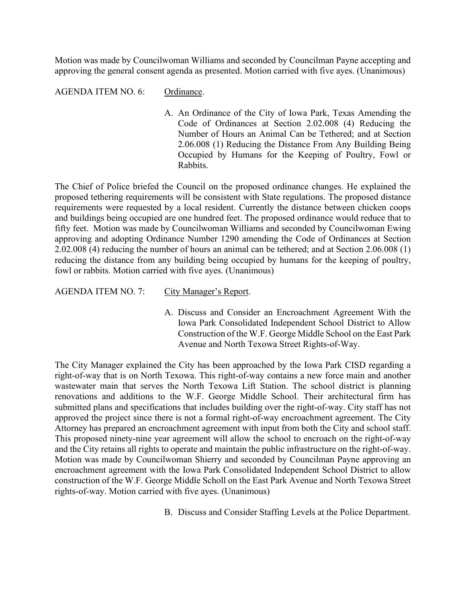Motion was made by Councilwoman Williams and seconded by Councilman Payne accepting and approving the general consent agenda as presented. Motion carried with five ayes. (Unanimous)

AGENDA ITEM NO. 6: Ordinance.

A. An Ordinance of the City of Iowa Park, Texas Amending the Code of Ordinances at Section 2.02.008 (4) Reducing the Number of Hours an Animal Can be Tethered; and at Section 2.06.008 (1) Reducing the Distance From Any Building Being Occupied by Humans for the Keeping of Poultry, Fowl or Rabbits.

The Chief of Police briefed the Council on the proposed ordinance changes. He explained the proposed tethering requirements will be consistent with State regulations. The proposed distance requirements were requested by a local resident. Currently the distance between chicken coops and buildings being occupied are one hundred feet. The proposed ordinance would reduce that to fifty feet. Motion was made by Councilwoman Williams and seconded by Councilwoman Ewing approving and adopting Ordinance Number 1290 amending the Code of Ordinances at Section 2.02.008 (4) reducing the number of hours an animal can be tethered; and at Section 2.06.008 (1) reducing the distance from any building being occupied by humans for the keeping of poultry, fowl or rabbits. Motion carried with five ayes. (Unanimous)

AGENDA ITEM NO. 7: City Manager's Report.

A. Discuss and Consider an Encroachment Agreement With the Iowa Park Consolidated Independent School District to Allow Construction of the W.F. George Middle School on the East Park Avenue and North Texowa Street Rights-of-Way.

The City Manager explained the City has been approached by the Iowa Park CISD regarding a right-of-way that is on North Texowa. This right-of-way contains a new force main and another wastewater main that serves the North Texowa Lift Station. The school district is planning renovations and additions to the W.F. George Middle School. Their architectural firm has submitted plans and specifications that includes building over the right-of-way. City staff has not approved the project since there is not a formal right-of-way encroachment agreement. The City Attorney has prepared an encroachment agreement with input from both the City and school staff. This proposed ninety-nine year agreement will allow the school to encroach on the right-of-way and the City retains all rights to operate and maintain the public infrastructure on the right-of-way. Motion was made by Councilwoman Shierry and seconded by Councilman Payne approving an encroachment agreement with the Iowa Park Consolidated Independent School District to allow construction of the W.F. George Middle Scholl on the East Park Avenue and North Texowa Street rights-of-way. Motion carried with five ayes. (Unanimous)

B. Discuss and Consider Staffing Levels at the Police Department.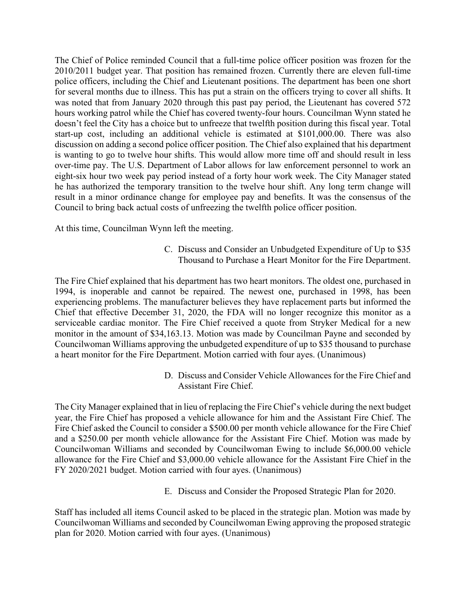The Chief of Police reminded Council that a full-time police officer position was frozen for the 2010/2011 budget year. That position has remained frozen. Currently there are eleven full-time police officers, including the Chief and Lieutenant positions. The department has been one short for several months due to illness. This has put a strain on the officers trying to cover all shifts. It was noted that from January 2020 through this past pay period, the Lieutenant has covered 572 hours working patrol while the Chief has covered twenty-four hours. Councilman Wynn stated he doesn't feel the City has a choice but to unfreeze that twelfth position during this fiscal year. Total start-up cost, including an additional vehicle is estimated at \$101,000.00. There was also discussion on adding a second police officer position. The Chief also explained that his department is wanting to go to twelve hour shifts. This would allow more time off and should result in less over-time pay. The U.S. Department of Labor allows for law enforcement personnel to work an eight-six hour two week pay period instead of a forty hour work week. The City Manager stated he has authorized the temporary transition to the twelve hour shift. Any long term change will result in a minor ordinance change for employee pay and benefits. It was the consensus of the Council to bring back actual costs of unfreezing the twelfth police officer position.

At this time, Councilman Wynn left the meeting.

C. Discuss and Consider an Unbudgeted Expenditure of Up to \$35 Thousand to Purchase a Heart Monitor for the Fire Department.

The Fire Chief explained that his department has two heart monitors. The oldest one, purchased in 1994, is inoperable and cannot be repaired. The newest one, purchased in 1998, has been experiencing problems. The manufacturer believes they have replacement parts but informed the Chief that effective December 31, 2020, the FDA will no longer recognize this monitor as a serviceable cardiac monitor. The Fire Chief received a quote from Stryker Medical for a new monitor in the amount of \$34,163.13. Motion was made by Councilman Payne and seconded by Councilwoman Williams approving the unbudgeted expenditure of up to \$35 thousand to purchase a heart monitor for the Fire Department. Motion carried with four ayes. (Unanimous)

> D. Discuss and Consider Vehicle Allowances for the Fire Chief and Assistant Fire Chief.

The City Manager explained that in lieu of replacing the Fire Chief's vehicle during the next budget year, the Fire Chief has proposed a vehicle allowance for him and the Assistant Fire Chief. The Fire Chief asked the Council to consider a \$500.00 per month vehicle allowance for the Fire Chief and a \$250.00 per month vehicle allowance for the Assistant Fire Chief. Motion was made by Councilwoman Williams and seconded by Councilwoman Ewing to include \$6,000.00 vehicle allowance for the Fire Chief and \$3,000.00 vehicle allowance for the Assistant Fire Chief in the FY 2020/2021 budget. Motion carried with four ayes. (Unanimous)

E. Discuss and Consider the Proposed Strategic Plan for 2020.

Staff has included all items Council asked to be placed in the strategic plan. Motion was made by Councilwoman Williams and seconded by Councilwoman Ewing approving the proposed strategic plan for 2020. Motion carried with four ayes. (Unanimous)